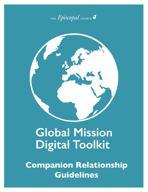



# **Global Mission Digital Toolkit**

**Companion Relationship Guidelines**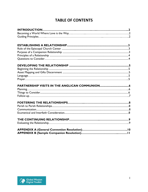## **TABLE OF CONTENTS**

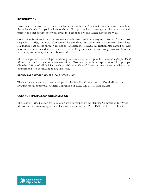#### **INTRODUCTION**

Partnership in mission is at the heart of relationships within the Anglican Communion and throughout the wider church. Companion Relationships offer opportunities to engage in mission activity with partners in other provinces to work towards "Becoming a World Where Love is the Way."

Companion Relationships exist to strengthen each participant in ministry and mission. They can take shape in a variety of ways. Companion Relationships can be formal or informal. Formalized relationships are passed through resolutions at Executive Council. All relationships should be built upon mutual understanding and a shared vision. They can exist between congregations, dioceses, provinces, institutions, or any combination thereof.

These Companion Relationship Guidelines provide material based upon the *Guiding Principles for World Mission* from the Standing Commission on World Mission along with the experience of The Episcopal Church's Office of Global Partnerships. GO as a Way of Love practice invites us all to cross boundaries, listen deeply, and to live like Jesus.

#### **BECOMING A WORLD WHERE LOVE IS THE WAY**

This message to the church was developed by the Standing Commission on World Mission and is awaiting official approval at General Convention in 2022. (LINK TO MESSAGE)

#### **GUIDING PRINCIPLES for WORLD MISSION**

The Guiding Principles for World Mission were developed by the Standing Commission for World Mission and are awaiting approval at General Convention in 2022. (LINK TO PRINCIPLES)

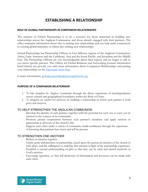## **ESTABLISHING A RELATIONSHIP**

#### **ROLE OF GLOBAL PARTNERSHIPS IN COMPANION RELATIONSHIPS**

The ministry of Global Partnerships is to be a resource for those interested in building new relationships across the Anglican Communion and those already engaged with their partners. The office maintains information about who is seeking new relationships and can help make connections to existing global ministries or others also seeking new relationships.

Global Partnerships has Partnership Officers in four different regions of the Anglican Communion, Africa, Latin American and the Caribbean, Asia and the South Pacific, and Jerusalem and the Middle East. The Partnership Officers are very knowledgeable about their regions and are happy to talk to you about specific partners. The Officer for Global Relations and Networking [contact information listed below] can provide you with more information about Companion Relationships and putting your relationships on the [Episcopal Asset Map.](http://www.episcopalassetmap.org/)

Contact information: [globalpartnerships@episcopalchurch.org](mailto:globalpartnerships@episcopalchurch.org)

#### **PURPOSE OF A COMPANION RELATIONSHIP**

- 1. *To help strengthen the Anglican Communion* through the direct experience of interdependence across cultural and geographical boundaries within the Body of Christ
- 2. *To strengthen one another* for mission, by building a relationship in which each partner is both giver and receiver.

#### TO HELP STRENGTHEN THE ANGLICAN COMMUNION

- Develop the identity of each partner, together with the potential for each one to carry out its mission in the context of its community.
- Promote greater cooperation between each partner's members and apply mission in partnership at all levels of the church's life.
- Support each other under a variety of constraints, build confidence through the experience of knowing that partners have been and will be present.

#### TO STRENGTHEN ONE ANOTHER

- Reflect on mission together.
- Clarify goals and priorities in partnership, based upon the perceived mission of the church in each place, and the willingness to redefine that mission in light of the partnership experience.
- Establish a mutual understanding of gifts so that they can be used and shared creatively in God's mission.
- Encourage openness, so that full disclosure of information and resources can be made with each other.

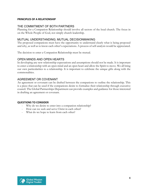#### **PRINCIPLES OF A RELATIONSHIP**

#### THE COMMITMENT OF BOTH PARTNERS

Planning for a Companion Relationship should involve all sectors of the local church. The focus in on the Whole People of God, not simply church leadership.

#### MUTUAL UNDERSTANDING; MUTUAL DECISIONMAKING

The proposed companions must have the opportunity to understand clearly what is being proposed and why, as well as to know each other's expectations. A process of self-analysis would be appreciated.

The decision to enter a Companion Relationship must be mutual.

#### OPEN MINDS AND OPEN HEARTS

In developing any new relationship expectations and assumptions should not be made. It is important to enter a relationship with an open mind and an open heart and allow the Spirit to move. We all bring our own particularities to a relationship. It is important to celebrate the unique gifts along with the commonalities.

#### AGREEMENT OR COVENANT

An agreement or covenant can be drafted between the companions to outline the relationship. This is a piece that can be used if the companions desire to formalize their relationship through executive council. The Global Partnerships Department can provide examples and guidance for those interested in drafting an agreement or covenant.

#### **QUESTIONS TO CONSIDER**

- Why do we desire to enter into a companion relationship?
- How can we seek and serve Christ in each other?
- What do we hope to learn from each other?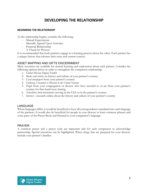## **DEVELOPING THE RELATIONSHIP**

#### **BEGINNING THE RELATIONSHIP**

As the relationship begins, consider the following:

- Mutual Expectations
- Mutually Agreed Upon Activities
- Financial Relationship
- A 'Check In' Process

It is recommended that both partners engage in a learning process about the other. Each partner has a unique history that informs their story and current context.

#### ASSET MAPPING AND GIFTS DISCERNMENT

Many resources are available for mutual learning and exploration about each partner. Consider the following options below in order to strengthen the companion relationship:

- 1. *Global Mission Digital Toolkit*
- 2. *Books and articles* on history and culture of your partner's country
- 3. *Local newspapers* from your partner's country
- *4. Embassy, Consulate or Mission to the United Nations*
- 5. *People* from your congregation or diocese who have traveled to or are from your partner's country for first-hand story sharing
- 6. *Newsletters from missionaries* serving in the USA or in the partner's country
- 7. *Internet*  research online about the history and culture of your partner's country

#### LANGUAGE

Where languages differ, it would be beneficial to have all correspondence translated into each language of the partners. It would also be beneficial for people in your diocese to learn common phrases and some parts of the Prayer Book and Hymnal in your companion's language.

#### PRAYER

A common prayer and a prayer cycle are important aids for each companion to acknowledge partnership. Special intentions can be highlighted. When clergy lists are prepared for your diocese, include your partner's families.

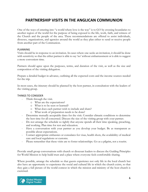## **PARTNERSHIP VISITS IN THE ANGLICAN COMMUNION**

One of the ways of entering into "a world where love is the way" is to GO by crossing boundaries to another region of the world for the purpose of being exposed to the life, work, faith, and witness of the Church and the people of the area. These recommendations are offered to assist individuals, dioceses, organizations, and agencies around the world as they plan either to send or receive people from another part of the Communion.

#### PLANNING

Visits should be in response to an invitation. In cases where one seeks an invitation, it should be done with sensitivity so that the either partner is able to say 'no' without embarrassment or is able to suggest a more convenient time.

Partners should agree upon the purposes, terms, and duration of the visit, as well as the size and composition of the visiting delegation.

Prepare a detailed budget in advance, outlining all the expected costs and the income sources needed for the trip.

In most cases, the itinerary should be planned by the host partner, in consultation with the leaders of the visiting group.

#### THINGS TO CONSIDER

- Think through the visit.
	- o What are the expectations?
	- o What is to be seen or learned?
	- o What does each partner wish to include and share?
	- o What work of preparation needs to be done?
- Determine mutually acceptable dates for the visit. Consider climatic conditions to determine the best time for all concerned. Discuss the size of the visiting group with your partner.
- Do not arrange the schedule so tightly that anyone spends all their time speaking, preaching, and working. Plan time for rest and relaxation.
- Have a conversation with your partner as you develop your budget. Be as transparent as possible about expectations.
- Contact appropriate embassies or consulates for visas, health shots, the availability of medical care and local regulations or customs.
- Please remember that these visits are to foster relationships. Go as a pilgrim, not a tourist.

Provide small group conversations with church or diocesan leaders to discuss the Guiding Principles for World Mission to help build trust and a place where everyone feels comfortable sharing.

Where possible, arrange the schedule so that guests experience not only life in the local church but also have an opportunity to experience the social and cultural life in which the church exists, so that they gain a full picture of the world context in which the mission and ministry of the host church is exercised.

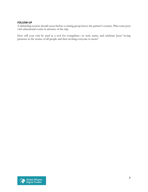#### **FOLLOW-UP**

A debriefing session should occur before a visiting group leaves the partner's country. Plan some post visit educational events in advance of the trip.

How will your visit be used as a tool for evangelism—to seek, name, and celebrate Jesus' loving presence in the stories of all people and then inviting everyone to more?

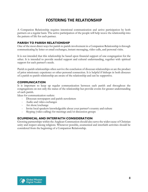## **FOSTERING THE RELATIONSHIP**

A Companion Relationship requires intentional communication and active participation by both partners on a regular basis. The active participation of the people will help weave the relationship into the pattern of life for each partner.

#### **PARISH TO PARISH RELATIONSHIP**

One of the most direct ways for parish to parish involvement in a Companion Relationship is through communicating by letter or email exchanges, instant messaging, video calls, and personal visits.

It is not intended that this relationship be based upon financial support of one congregation for the other. It is intended to provide needed support and cultural understanding, together with spiritual support for each partner's needs.

Parish to parish relationships often survive the conclusion of diocesan relationships or are the product of prior missionary experience or other personal connection. It is helpful if bishops in both dioceses of a parish to parish relationship are aware of the relationship and can be supportive.

#### **COMMUNICATION**

It is important to keep up regular communication between each parish and throughout the congregations on not only the status of the relationship but provide events for greater understanding of each parish.

Ideas for communication outlets:

- Diocesan newspapers and parish newsletters
- Audio and video exchanges
- Art show/exchange
- Invite local speakers knowledgeable about your partner's country and culture
- Skyping (video calling) for meetings and/or discussion groups

#### **ECUMENICAL AND INTERFAITH CONSIDERATION**

Growing partnerships within the Anglican Communion should also serve the wider cause of Christian unity and respect among religions. Whenever possible, ecumenical and interfaith activities should be considered from the beginning of a Companion Relationship.

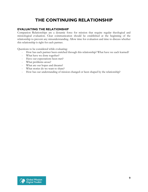# **THE CONTINUING RELATIONSHIP**

#### **EVALUATING THE RELATIONSHIP**

Companion Relationships are a dynamic force for mission that require regular theological and missiological evaluation. Clear communication should be established at the beginning of the relationship to prevent any misunderstanding. Allow time for evaluation and time to discuss whether this relationship is right for each partner.

Questions to be considered while evaluating:

- How has each partner been enriched through this relationship? What have we each learned?
- What have we done together?
- Have our expectations been met?
- What problems arose?
- What are our hopes and dreams?
- What stories do we want to share?
- How has our understanding of mission changed or been shaped by the relationship?

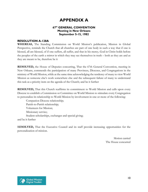# **APPENDIX A**

#### **67th GENERAL CONVENTION Meeting in New Orleans September 5-15, 1982**

#### **RESOLUTION A-128A**

**WHEREAS,** The Standing Commission on World Mission's publication, Mission in Global Perspective, reminds the Church that all churches are part of one body in such a way that if one is blessed, all are blessed, of if one suffers, all suffer, and that in his mercy, God in Christ holds before the peoples of the earth a mirror in which they may see themselves in truth – both as they are and as they are meant to be, therefore be it

**RESOLVED,** the House of Deputies concurring, That the 67th General Convention, meeting in New Orleans, commends the participation of many Provinces, Dioceses, and Congregations in the ministry of World Mission, while at the same time acknowledging the tendency of many to view World Mission as someone else's work somewhere else and the subsequent failure of many to understand this task as a priority item on the agenda of the Church; and be it further

**RESOLVED,** That this Church reaffirms its commitment to World Mission and calls upon every Diocese to establish a Commission or Committee on World Mission to stimulate every Congregation to personalize its relationship to World Mission by involvement in one or more of the following:

Companion Diocese relationship; Parish-to-Parish relationship; Volunteers for Mission; Missionary service; Student scholarships, exchanges and special giving; and be it further

R**ESOLVED,** That the Executive Council and its staff provide increasing opportunities for the personalization of mission.

> Motion carried The House concurred

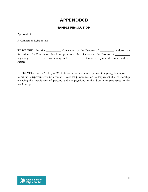## **APPENDIX B**

#### **SAMPLE RESOLUTION**

Approval of

A Companion Relationship

**RESOLVED,** that the \_\_\_\_\_\_\_\_\_\_\_ Convention of the Diocese of \_\_\_\_\_\_\_\_\_\_ endorses the formation of a Companion Relationship between this diocese and the Diocese of \_\_\_\_\_\_\_\_\_\_, beginning \_\_\_\_\_\_\_\_\_ and continuing until \_\_\_\_\_\_\_\_\_\_ or terminated by mutual consent; and be it further

**RESOLVED,** that the (bishop or World Mission Commission, department or group) be empowered to set up a representative Companion Relationship Commission to implement this relationship, including the recruitment of persons and congregations in the diocese to participate in this relationship.